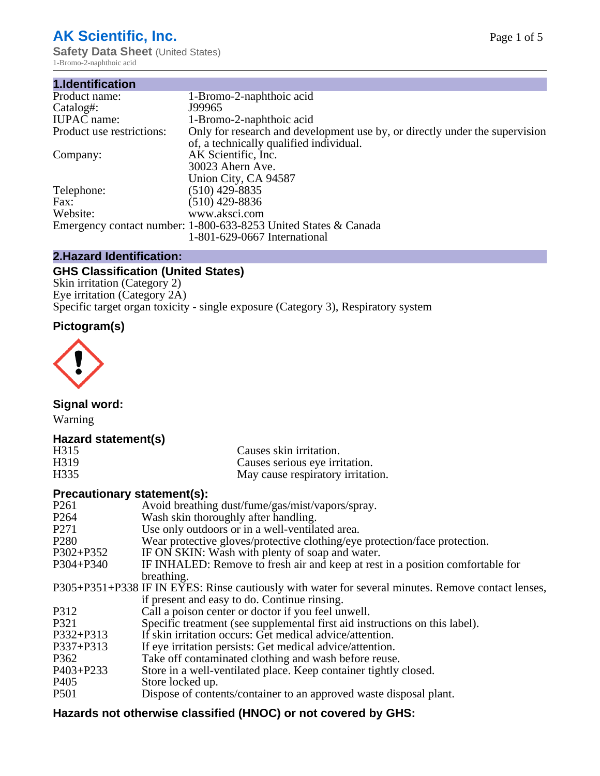# **AK Scientific, Inc.**

**Safety Data Sheet** (United States) 1-Bromo-2-naphthoic acid

| 1.Identification          |                                                                             |
|---------------------------|-----------------------------------------------------------------------------|
| Product name:             | 1-Bromo-2-naphthoic acid                                                    |
| Catalog#:                 | J99965                                                                      |
| <b>IUPAC</b> name:        | 1-Bromo-2-naphthoic acid                                                    |
| Product use restrictions: | Only for research and development use by, or directly under the supervision |
|                           | of, a technically qualified individual.                                     |
| Company:                  | AK Scientific, Inc.                                                         |
|                           | 30023 Ahern Ave.                                                            |
|                           | Union City, CA 94587                                                        |
| Telephone:                | $(510)$ 429-8835                                                            |
| Fax:                      | $(510)$ 429-8836                                                            |
| Website:                  | www.aksci.com                                                               |
|                           | Emergency contact number: 1-800-633-8253 United States & Canada             |
|                           | 1-801-629-0667 International                                                |

# **2.Hazard Identification:**

# **GHS Classification (United States)**

Skin irritation (Category 2) Eye irritation (Category 2A) Specific target organ toxicity - single exposure (Category 3), Respiratory system

# **Pictogram(s)**



**Signal word:**

Warning

# **Hazard statement(s)**

| H315              | Causes skin irritation.           |
|-------------------|-----------------------------------|
| H <sub>3</sub> 19 | Causes serious eye irritation.    |
| H335              | May cause respiratory irritation. |

## **Precautionary statement(s):**

| P <sub>261</sub> | Avoid breathing dust/fume/gas/mist/vapors/spray.                                                   |
|------------------|----------------------------------------------------------------------------------------------------|
| P <sub>264</sub> | Wash skin thoroughly after handling.                                                               |
| P <sub>271</sub> | Use only outdoors or in a well-ventilated area.                                                    |
| P <sub>280</sub> | Wear protective gloves/protective clothing/eye protection/face protection.                         |
| P302+P352        | IF ON SKIN: Wash with plenty of soap and water.                                                    |
| $P304 + P340$    | IF INHALED: Remove to fresh air and keep at rest in a position comfortable for                     |
|                  | breathing.                                                                                         |
|                  | P305+P351+P338 IF IN EYES: Rinse cautiously with water for several minutes. Remove contact lenses, |
|                  | if present and easy to do. Continue rinsing.                                                       |
| P312             | Call a poison center or doctor if you feel unwell.                                                 |
| P321             | Specific treatment (see supplemental first aid instructions on this label).                        |
| P332+P313        | If skin irritation occurs: Get medical advice/attention.                                           |
| P337+P313        | If eye irritation persists: Get medical advice/attention.                                          |
| P362             | Take off contaminated clothing and wash before reuse.                                              |
| $P403 + P233$    | Store in a well-ventilated place. Keep container tightly closed.                                   |
| P <sub>405</sub> | Store locked up.                                                                                   |
| P <sub>501</sub> | Dispose of contents/container to an approved waste disposal plant.                                 |
|                  |                                                                                                    |

# **Hazards not otherwise classified (HNOC) or not covered by GHS:**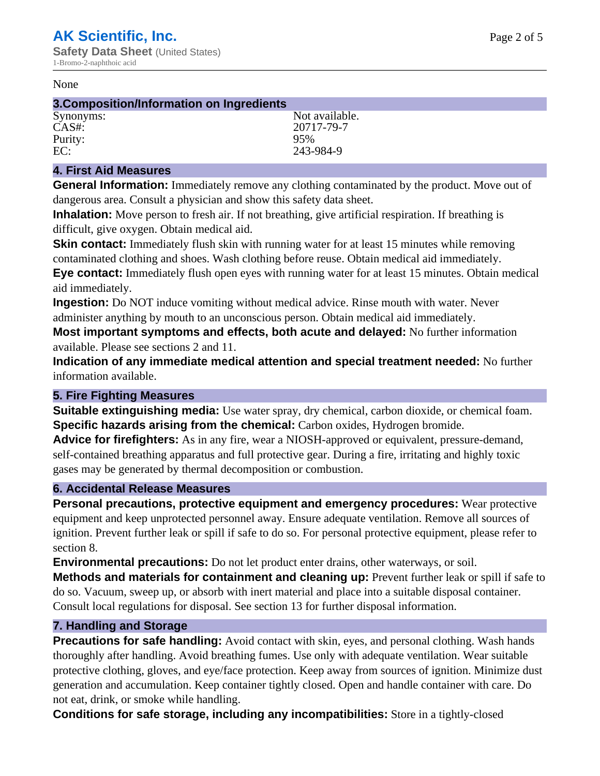#### None

## **3.Composition/Information on Ingredients**

Purity: 95%<br>EC: 243-

Synonyms: Not available. CAS#: 20717-79-7 243-984-9

# **4. First Aid Measures**

**General Information:** Immediately remove any clothing contaminated by the product. Move out of dangerous area. Consult a physician and show this safety data sheet.

**Inhalation:** Move person to fresh air. If not breathing, give artificial respiration. If breathing is difficult, give oxygen. Obtain medical aid.

**Skin contact:** Immediately flush skin with running water for at least 15 minutes while removing contaminated clothing and shoes. Wash clothing before reuse. Obtain medical aid immediately. **Eye contact:** Immediately flush open eyes with running water for at least 15 minutes. Obtain medical aid immediately.

**Ingestion:** Do NOT induce vomiting without medical advice. Rinse mouth with water. Never administer anything by mouth to an unconscious person. Obtain medical aid immediately.

**Most important symptoms and effects, both acute and delayed:** No further information available. Please see sections 2 and 11.

**Indication of any immediate medical attention and special treatment needed:** No further information available.

# **5. Fire Fighting Measures**

**Suitable extinguishing media:** Use water spray, dry chemical, carbon dioxide, or chemical foam. **Specific hazards arising from the chemical:** Carbon oxides, Hydrogen bromide.

**Advice for firefighters:** As in any fire, wear a NIOSH-approved or equivalent, pressure-demand, self-contained breathing apparatus and full protective gear. During a fire, irritating and highly toxic gases may be generated by thermal decomposition or combustion.

# **6. Accidental Release Measures**

**Personal precautions, protective equipment and emergency procedures:** Wear protective equipment and keep unprotected personnel away. Ensure adequate ventilation. Remove all sources of ignition. Prevent further leak or spill if safe to do so. For personal protective equipment, please refer to section 8.

**Environmental precautions:** Do not let product enter drains, other waterways, or soil.

**Methods and materials for containment and cleaning up:** Prevent further leak or spill if safe to do so. Vacuum, sweep up, or absorb with inert material and place into a suitable disposal container. Consult local regulations for disposal. See section 13 for further disposal information.

## **7. Handling and Storage**

**Precautions for safe handling:** Avoid contact with skin, eyes, and personal clothing. Wash hands thoroughly after handling. Avoid breathing fumes. Use only with adequate ventilation. Wear suitable protective clothing, gloves, and eye/face protection. Keep away from sources of ignition. Minimize dust generation and accumulation. Keep container tightly closed. Open and handle container with care. Do not eat, drink, or smoke while handling.

**Conditions for safe storage, including any incompatibilities:** Store in a tightly-closed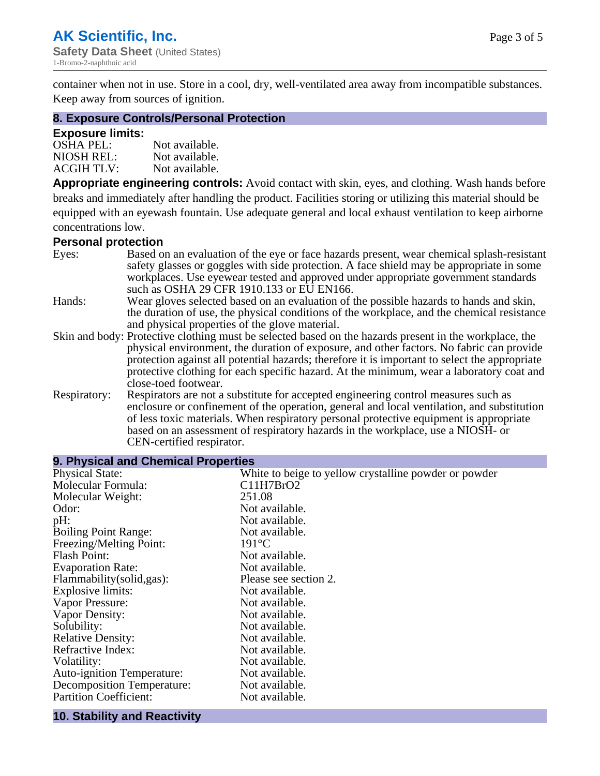container when not in use. Store in a cool, dry, well-ventilated area away from incompatible substances. Keep away from sources of ignition.

## **8. Exposure Controls/Personal Protection**

## **Exposure limits:**

| <b>OSHA PEL:</b>  | Not available. |
|-------------------|----------------|
| NIOSH REL:        | Not available. |
| <b>ACGIH TLV:</b> | Not available. |

**Appropriate engineering controls:** Avoid contact with skin, eyes, and clothing. Wash hands before breaks and immediately after handling the product. Facilities storing or utilizing this material should be equipped with an eyewash fountain. Use adequate general and local exhaust ventilation to keep airborne concentrations low.

#### **Personal protection**

| Eyes:        | Based on an evaluation of the eye or face hazards present, wear chemical splash-resistant<br>safety glasses or goggles with side protection. A face shield may be appropriate in some<br>workplaces. Use eyewear tested and approved under appropriate government standards |
|--------------|-----------------------------------------------------------------------------------------------------------------------------------------------------------------------------------------------------------------------------------------------------------------------------|
|              | such as OSHA 29 CFR 1910.133 or EU EN166.                                                                                                                                                                                                                                   |
| Hands:       | Wear gloves selected based on an evaluation of the possible hazards to hands and skin,                                                                                                                                                                                      |
|              | the duration of use, the physical conditions of the workplace, and the chemical resistance                                                                                                                                                                                  |
|              | and physical properties of the glove material.                                                                                                                                                                                                                              |
|              | Skin and body: Protective clothing must be selected based on the hazards present in the workplace, the                                                                                                                                                                      |
|              | physical environment, the duration of exposure, and other factors. No fabric can provide                                                                                                                                                                                    |
|              | protection against all potential hazards; therefore it is important to select the appropriate                                                                                                                                                                               |
|              | protective clothing for each specific hazard. At the minimum, wear a laboratory coat and                                                                                                                                                                                    |
|              | close-toed footwear.                                                                                                                                                                                                                                                        |
| Respiratory: | Respirators are not a substitute for accepted engineering control measures such as<br>enclosure or confinement of the operation, general and local ventilation, and substitution                                                                                            |
|              | of less toxic materials. When respiratory personal protective equipment is appropriate                                                                                                                                                                                      |
|              | based on an assessment of respiratory hazards in the workplace, use a NIOSH- or                                                                                                                                                                                             |
|              | CEN-certified respirator.                                                                                                                                                                                                                                                   |

| 9. Physical and Chemical Properties |                                                       |  |  |
|-------------------------------------|-------------------------------------------------------|--|--|
| <b>Physical State:</b>              | White to beige to yellow crystalline powder or powder |  |  |
| Molecular Formula:                  | C11H7BrO2                                             |  |  |
| Molecular Weight:                   | 251.08                                                |  |  |
| Odor:                               | Not available.                                        |  |  |
| pH:                                 | Not available.                                        |  |  |
| <b>Boiling Point Range:</b>         | Not available.                                        |  |  |
| Freezing/Melting Point:             | $191^{\circ}C$                                        |  |  |
| <b>Flash Point:</b>                 | Not available.                                        |  |  |
| <b>Evaporation Rate:</b>            | Not available.                                        |  |  |
| Flammability(solid,gas):            | Please see section 2.                                 |  |  |
| <b>Explosive limits:</b>            | Not available.                                        |  |  |
| Vapor Pressure:                     | Not available.                                        |  |  |
| Vapor Density:                      | Not available.                                        |  |  |
| Solubility:                         | Not available.                                        |  |  |
| <b>Relative Density:</b>            | Not available.                                        |  |  |
| Refractive Index:                   | Not available.                                        |  |  |
| Volatility:                         | Not available.                                        |  |  |
| <b>Auto-ignition Temperature:</b>   | Not available.                                        |  |  |
| <b>Decomposition Temperature:</b>   | Not available.                                        |  |  |
| <b>Partition Coefficient:</b>       | Not available.                                        |  |  |
|                                     |                                                       |  |  |

#### **10. Stability and Reactivity**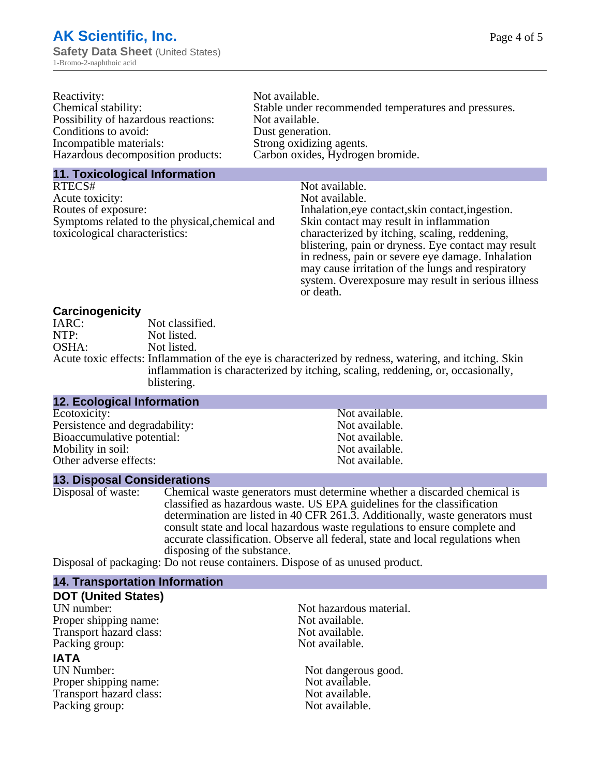| Reactivity:                         | Not available.                                       |
|-------------------------------------|------------------------------------------------------|
| Chemical stability:                 | Stable under recommended temperatures and pressures. |
| Possibility of hazardous reactions: | Not available.                                       |
| Conditions to avoid:                | Dust generation.                                     |
| Incompatible materials:             | Strong oxidizing agents.                             |
| Hazardous decomposition products:   | Carbon oxides, Hydrogen bromide.                     |

#### **11. Toxicological Information**

| RTECS#                                         | Not available.                                      |
|------------------------------------------------|-----------------------------------------------------|
| Acute toxicity:                                | Not available.                                      |
| Routes of exposure:                            | Inhalation, eye contact, skin contact, ingestion.   |
| Symptoms related to the physical, chemical and | Skin contact may result in inflammation             |
| toxicological characteristics:                 | characterized by itching, scaling, reddening,       |
|                                                | blistering, pain or dryness. Eye contact may result |
|                                                | in redness, pain or severe eye damage. Inhalation   |
|                                                | may cause irritation of the lungs and respiratory   |
|                                                | system. Overexposure may result in serious illness  |

or death.

## **Carcinogenicity**

| IARC: | Not classified.                                                                                      |
|-------|------------------------------------------------------------------------------------------------------|
| NTP:  | Not listed.                                                                                          |
| OSHA: | Not listed.                                                                                          |
|       | Acute toxic effects: Inflammation of the eye is characterized by redness, watering, and itching. Ski |
|       | inflammation is characterized by itching, scaling, reddening, or, occasionally,                      |
|       | blistering.                                                                                          |

| 12. Ecological Information     |                |
|--------------------------------|----------------|
| Ecotoxicity:                   | Not available. |
| Persistence and degradability: | Not available. |
| Bioaccumulative potential:     | Not available. |
| Mobility in soil:              | Not available. |
| Other adverse effects:         | Not available. |

#### **13. Disposal Considerations**

Disposal of waste: Chemical waste generators must determine whether a discarded chemical is classified as hazardous waste. US EPA guidelines for the classification determination are listed in 40 CFR 261.3. Additionally, waste generators must consult state and local hazardous waste regulations to ensure complete and accurate classification. Observe all federal, state and local regulations when disposing of the substance.

Disposal of packaging: Do not reuse containers. Dispose of as unused product.

| <b>14. Transportation Information</b> |                         |
|---------------------------------------|-------------------------|
| <b>DOT (United States)</b>            |                         |
| UN number:                            | Not hazardous material. |
| Proper shipping name:                 | Not available.          |
| Transport hazard class:               | Not available.          |
| Packing group:                        | Not available.          |
| <b>IATA</b>                           |                         |
| UN Number:                            | Not dangerous good.     |
| Proper shipping name:                 | Not available.          |
| Transport hazard class:               | Not available.          |
| Packing group:                        | Not available.          |
|                                       |                         |